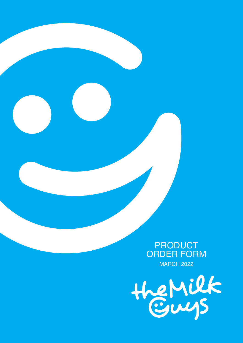

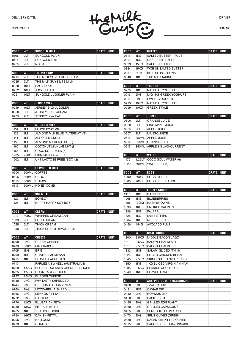

RUN NO:

| <b>CODE</b> | WT        | <b>SUNGOLD MILK</b>                  | CRATE             | UNIT        |
|-------------|-----------|--------------------------------------|-------------------|-------------|
| 0105        | 2LT       | SUNGOLD PLAIN                        |                   |             |
| 0115        | 2LT       | <b>SUNGOLD LITE</b>                  |                   |             |
| 0235        | 2LT       | <b>NO FAT</b>                        |                   |             |
|             |           |                                      |                   |             |
| <b>CODE</b> | WT        | THE MILK GUYS                        | <b>CRATE</b>      | <b>UNIT</b> |
| 0215        | 2LT       | THE MILK GUYS FULL CREAM             |                   |             |
| 0225        | 2LT       | THE MILK GUYS LITE MILK              |                   |             |
| 0250        | 10LT      | <b>BAG SPOUT</b>                     |                   |             |
| 0252        | 10LT      | JUGGLER LITE                         |                   |             |
| 0251        | 10LT      | SUNGOLD JUGGLER PLAIN                |                   |             |
|             |           |                                      |                   |             |
| <b>CODE</b> | WT        | <b>JERSEY MILK</b>                   | CRATE             | ∣UNIT       |
| 0249        | 10LT      | JERSEY BAG JUGGLER                   |                   |             |
| 0280        | 2LT       | JERSEY FULL CREAM                    |                   |             |
| 0285        | 2LT       | JERSEY LOW FAT                       |                   |             |
|             |           |                                      |                   |             |
| <b>CODE</b> | <b>WT</b> | MODIFIED MILK                        | <b>CRATE</b>      | UNIT        |
| 1132        | 1LT       | <b>MINOR FOAT MILK</b>               |                   |             |
| 1136        | 1LT       | ALMOND MLK BLUE (ALTERNATIVE)        |                   |             |
| 1141        | 1LT       | ALT OAT MILK(12)                     |                   |             |
| 1150        | 1LT       | ALMOND MILKLAB UHT (8)               |                   |             |
| 1160        | 1LT       | COCONUT MILKLAB UHT (8               |                   |             |
| 1165        | 1LT       | COCO SOUL MILK (6)                   |                   |             |
| 1965        | 25KG      | <b>SKIM MILK POWDER</b>              |                   |             |
| 1502        | 1LT       | UHT LACTOSE FREE (BOX 12)            |                   |             |
|             |           |                                      |                   |             |
| <b>CODE</b> | WT        | <b>FLAVOURED MILK</b>                | CRATE             | <b>UNIT</b> |
| 0500        | 500ML     | <b>COFFEE</b>                        |                   |             |
| 0505        | 500ML     | CHOC                                 |                   |             |
| 0510        | 500ML     | <b>STRAW</b>                         |                   |             |
| 0513        | 500ML     | <b>HONEYCOMB</b>                     |                   |             |
|             |           |                                      |                   |             |
| <b>CODE</b> | WT        | <b>SOY MILK</b>                      | <b>CRATE</b>      | <b>UNIT</b> |
|             | 1LT       | <b>BONSOY</b>                        |                   |             |
|             |           |                                      |                   |             |
| 1120        |           |                                      |                   |             |
| 1125        | 1LT       | HAPPY HAPPY SOY BOY                  |                   |             |
|             |           |                                      |                   |             |
| <b>CODE</b> | <b>WT</b> | <b>CREAM</b>                         | CRATE             | UNIT        |
| 1010        | 400G      | WHIPPED CREAM CAN                    |                   |             |
| 1033        | 2LT       | <b>SOUR CREAM</b>                    |                   |             |
| 1055        | 5LT       | THICK CREAM                          |                   |             |
| 1058        | 3LT       | THICK CREAM DEVONDALE                |                   |             |
|             |           |                                      |                   |             |
| <b>CODE</b> | WТ        | <b>CHEESE</b>                        | <b>CRATE UNIT</b> |             |
| 0700        | 2KG       | <b>CREAM CHEESE</b>                  |                   |             |
| 0703        | 500G      | MASCARPONE                           |                   |             |
| 0705        | 1KG       | BRIE                                 |                   |             |
| 0709        | 1KG       | <b>GRATED PARMESAN</b>               |                   |             |
| 0710        | 1KG       | SHAVED PARMESAN                      |                   |             |
| 0717        |           | PARMESAN WHEEL (AUSTRALIAN)          |                   |             |
| 0720        | 1.5KG     | <b>BEGA PROCESSED CHEDDAR SLICES</b> |                   |             |
| 0725        | 1.5KG     | <b>COON TASTY SLICES</b>             |                   |             |
| 0727        | 1.5KG     | <b>BURGER CHEESE</b>                 |                   |             |
| 0738        | 2KG       | <b>F/W TASTY SHREDDED</b>            |                   |             |
| 0748        | 2KG       | CHEDDAR BLOCK VINTAGE                |                   |             |
| 0760        | 2KG       | MOZZARELLA SHRED                     |                   |             |
| 0766        | 2KG       | <b>LEMNOS FETTA</b>                  |                   |             |
| 0772        | 3KG       | <b>RICOTTA</b>                       |                   |             |
| 0776        | 12KG      | <b>BULGARIAN FETA</b>                |                   |             |
| 0780        | 13KG      | <b>FETTA IN BRINE</b>                |                   |             |
| 0785        | 1KG       | 1KG BOCCOCINI                        |                   |             |
| 0790        | 16KG      | <b>DANISH FETTA</b>                  |                   |             |
| 0796        | 2KG       | <b>HALLOUMI</b>                      |                   |             |

| CODE                | <b>WT</b>          | <b>BUTTER</b>                                 | CRATE        | <b>UNIT</b> |
|---------------------|--------------------|-----------------------------------------------|--------------|-------------|
| 0811                | 1KG                | SALTED BUTTER + PLUS                          |              |             |
| 0812                | 1KG                | UNSALTED BUTTER                               |              |             |
| 0823                | 15KG               | SALTED BUTTER                                 |              |             |
| 0824                | 15KG               | WCB UNSALTED BUTTER                           |              |             |
| 0837                | 8GM                | <b>BUTTER PORTIONS</b>                        |              |             |
| 0840                | 1KG                | TUB MARGARINE                                 |              |             |
|                     |                    |                                               |              |             |
| <b>CODE</b>         | <b>WT</b>          | YOGHURT                                       | <b>CRATE</b> | <b>UNIT</b> |
| 0905                | 1KG                | NATURAL YOGHURT                               |              |             |
| 0913<br>0915        | 2KG<br>2KG         | M/G NAT GREEK YOGHURT<br><b>SWEET YOGHURT</b> |              |             |
| 0925                | 10KG               | NATURAL YOGHURT                               |              |             |
| 0999                | 10KG               | <b>GREEK STYLE</b>                            |              |             |
|                     |                    |                                               |              |             |
| <b>CODE</b>         | WT                 | JUICES                                        | CRATE        | <b>UNIT</b> |
| 0600                | 2LT                | ORANGE JUICE                                  |              |             |
| 0603                | 2LT                | PINE APPLE JUICE                              |              |             |
| 0605                | 2LT                | <b>APPLE JUICE</b>                            |              |             |
| 0607                | 2LT                | <b>MANGO JUICE</b>                            |              |             |
| 0611                | 350ML              | <b>APPLE JUICE</b>                            |              |             |
| 0612                | 350ML              | ORANGE JUICE                                  |              |             |
| 0613                | 350ML              | APPLE & BLACKCURRENT                          |              |             |
|                     |                    |                                               |              |             |
| CODE                | WТ                 | <b>WATER</b>                                  | <b>CRATE</b> | <b>UNIT</b> |
| 1170                | 1.25LT             | COCO SOUL WATER (6)                           |              |             |
| 1220                | 600ML              | WATER (12 PK)                                 |              |             |
|                     |                    |                                               |              |             |
| <b>CODE</b>         | WT                 | EGGS                                          | <b>CRATE</b> | <b>UNIT</b> |
| 1300                | 600S               | <b>EGGS FILLER</b>                            |              |             |
| 1305                | 700S               | <b>EGGS FREE RANGE</b>                        |              |             |
|                     |                    |                                               |              |             |
|                     |                    |                                               |              |             |
| <b>CODE</b>         | WT                 | <b>FROZEN GOODS</b>                           | <b>CRATE</b> | <b>UNIT</b> |
| 2110                | 1KG                | <b>RASPBERRIES</b>                            |              |             |
| 1968<br>1895        | 1KG                | <b>BLUEBERRIES</b><br><b>HASH BROWNS</b>      |              |             |
| 1896                | (BOX)<br>1KG       | SMOKED SALMON                                 |              |             |
| 1886                | 1KG                | <b>FALAFEL</b>                                |              |             |
| 1828                | 1KG                | <b>LAMB STRIPS</b>                            |              |             |
| 1964                | 1KG                | <b>MIXED BERRIES</b>                          |              |             |
| 0468                | 454G               | <b>AVOCADO PULP</b>                           |              |             |
|                     |                    |                                               |              |             |
| <b>CODE</b>         | <b>WT</b>          | <b>SMALLGOODS</b>                             | CRATE        | <b>UNIT</b> |
| 1800                | 2.5KG              | MIDDLE BACON LAGO                             |              |             |
| 1810                | 2.5KG              | <b>BACON TIBALDI S/R</b>                      |              |             |
| 1815                | 2.5KG              | <b>BACON TIBALDI L/R</b>                      |              |             |
| 1833                | 1KG                | SALAMI SLICED (THIN)                          |              |             |
| 1826                | 1KG                | <b>SLICED CHICKEN BREAST</b>                  |              |             |
| 1845                | 2.5KG              | SKINLESS FRANKS PER KG                        |              |             |
| 1850                | 1KG                | <b>1KG SLICED VIRGINIAN HAM</b>               |              |             |
| 1885                | 2.5 <sub>K</sub> G | SPANISH CHORIZO SAL                           |              |             |
| 1840                | 1KG                | SHAVED HAM                                    |              |             |
|                     |                    |                                               |              |             |
| <b>CODE</b><br>0430 | WT<br>2KG          | ANTI PASTO / DIP / MAYONNAISE<br>TZATZIKI DIP | <b>CRATE</b> | UNIT        |
| 0431                | 1KG                | CAVIAR DIP                                    |              |             |
| 0432                | 2KG                | <b>HOMMUS DIP</b>                             |              |             |
| 0450                | 2KG                | <b>BASIL PESTO</b>                            |              |             |
| 0455                | 2KG                | <b>GRILLED EGGPLANT</b>                       |              |             |
| 0460                | 2KG                | <b>GRILLED CAPSICUMS</b>                      |              |             |
| 0465                | 2KG                | <b>SEMI-DRIED TOMATOES</b>                    |              |             |
| 0470                | 2KG                | SPLIT OLIVES (GREEN)                          |              |             |
| 0480                | 2KG                | KALAMATA PITTED OLIVES                        |              |             |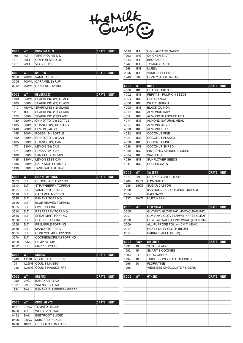

| <b>CODE</b>  | WT                         | <b>COOKING OILS</b>                              | <b>CRATE UNIT</b> |             | 0685        | 1LT         | <b>HOLLANDAISE SAUCE</b>              |              |             |
|--------------|----------------------------|--------------------------------------------------|-------------------|-------------|-------------|-------------|---------------------------------------|--------------|-------------|
| 1705         | 4LT                        | <b>VIRGIN OLIVE OIL</b>                          |                   |             | 1902        | 3KG         | <b>CHICKEN SALT</b>                   |              |             |
| 1710         | <b>20LT</b>                | <b>COTTON SEED OIL</b>                           |                   |             | 1943        | 4LT         | <b>BBQ SAUCE</b>                      |              |             |
| 1715         | 20LT                       | VEG OIL 20L                                      |                   |             | 1947        | 4LT         | <b>TOMATO SAUCE</b>                   |              |             |
|              |                            |                                                  |                   |             | 1958        | 1KG         | <b>MUESLI</b>                         |              |             |
| <b>CODE</b>  | WT                         | <b>SYRUPS</b>                                    | <b>CRATE UNIT</b> |             | 2995        | 1LT         | <b>VANILLA ESSENCE</b>                |              |             |
| 3000         | 700ML                      | <b>VANILLA SYRUP</b>                             |                   |             | 1946        | 3KG         | HONEY (AUSTRALIAN)                    |              |             |
| 3005         | 700ML                      | <b>CARAMEL SYRUP</b>                             |                   |             |             |             |                                       |              |             |
| 3010         | 700ML                      | <b>HAZELNUT SYRUP</b>                            |                   |             | <b>CODE</b> | WT          | <b>NUTS</b>                           | CRATE        | UNIT        |
|              |                            |                                                  |                   |             | 4000        | 1KG         | <b>CRANBERRIES</b>                    |              |             |
| <b>CODE</b>  | <b>WT</b>                  | <b>BEVERAGES</b>                                 | <b>CRATE UNIT</b> |             | 4002        | 1KG         | PEPITAS - PUMPKIN SEEDS               |              |             |
| 1400         |                            | 250ML SPARKLING (24) GLASS                       |                   |             | 4004        | 1KG         | <b>RED QUINOA</b>                     |              |             |
| 1405         | 500ML                      | SPARKLING (24) GLASS                             |                   |             | 4006        | 1KG         | <b>WHITE QUINOA</b>                   |              |             |
| 1410         | 750ML                      | SPARKLING (12) GLASS                             |                   |             | 4008        | 1KG         | <b>BLACK QUINOA</b>                   |              |             |
| 1415         | 1LT                        | SPARKLING (12) GLASS                             |                   |             | 4010        | 1KG         | <b>ALMONDS RAW</b>                    |              |             |
| 1420         | 500ML                      | SPARKLING (24) PLAST                             |                   |             | 4012        | 1KG         | ALMOND BLANCHED MEAL                  |              |             |
| 1430         | 200ML                      | CHINOTTO (24) BOTTLE                             |                   |             | 4014        | 1KG         | ALMOND NATURAL MEAL                   |              |             |
| 1435         | 200ML                      | ORANGE (24) BOTTLES                              |                   |             | 4016        | 1KG         | <b>ALMOND SLIVERED</b>                |              |             |
| 1440         | 200ML                      | LEMON (24) BOTTLE                                |                   |             | 4020        | 1KG         | <b>ALMOND FLAKE</b>                   |              |             |
| 1445         | 200ML                      | ROSSA (24) BOTTLE                                |                   |             | 4022        | 1KG         | <b>COCONUT FINE</b>                   |              |             |
| 1460         | 330ML                      | CHINOTTO (24) CAN                                |                   |             | 4024        | 1KG         | <b>COCONUT FLAKED</b>                 |              |             |
| 1465         | 330ML                      | ORANGE (24) CAN                                  |                   |             | 4026        | 1KG         | <b>COCONUT FINE</b>                   |              |             |
| 1470         | 330ML                      | LEMON (24) CAN                                   |                   |             | 4028        | 1KG         | <b>COCONUT SHRED</b>                  |              |             |
| 1475         | 330ML                      | ROSSA (24) CAN                                   |                   |             | 4032        | 1KG         | PISTACHIO KERNEL BROKEN               |              |             |
| 1480         | 330ML                      | <b>SAN PELL CAN MIN</b>                          |                   |             | 4034        | 1KG         | <b>WALNUTS</b>                        |              |             |
| 1485         | 330ML                      | <b>LEMON ZEST CAN</b>                            |                   |             | 4036        | 1KG         | <b>SUNFLOWER SEEDS</b>                |              |             |
| 1486         | 330ML                      | DARK MOR POMMEG                                  |                   |             | 4041        | 1KG         | ROLLED OATS                           |              |             |
| 1490         | 330ML                      | TANG/WILD STRAWB                                 |                   |             |             |             |                                       |              |             |
|              |                            |                                                  |                   |             | <b>CODE</b> | WT          | <b>SWEETS</b>                         | CRATE        | UNIT        |
| <b>CODE</b>  | WT                         | EDLYN TOPPINGS                                   | CRATE             | $ $ UNIT    | 1973        | 2KG         | DRINKING CHOCOLATE                    |              |             |
| 3505         | 3LT                        | <b>CHOCOLATE TOPPING</b>                         |                   |             | 1980        | 15KG        | <b>RAW SUGAR</b>                      |              |             |
| 3510         | 3LT                        | <b>STRAWBERRY TOPPING</b>                        |                   |             | 1985        | 25KG        | <b>SUGAR CASTOR</b>                   |              |             |
| 3515         | 3LT                        | <b>VANILLA TOPPING</b>                           |                   |             | 2000        |             | 3KG BULK BACI ORIGINAL (4X125G)       |              |             |
| 3520         | 3LT                        | <b>CARAMEL TOPPING</b>                           |                   |             | 2004        |             | <b>BACI BAGS</b>                      |              |             |
| 3525         | 3LT                        | <b>BANANA TOPPING</b>                            |                   |             | 1937        | 10KG        | <b>MUFFIN MIX</b>                     |              |             |
| 3530         | 3LT                        | <b>BLUE HEAVEN TOPPING</b>                       |                   |             |             |             |                                       |              |             |
| 3535         | 3LT                        | <b>LIME TOPPING</b>                              |                   |             | <b>CODE</b> | WТ          | <b>ESSENTIALS</b>                     | <b>CRATE</b> | <b>UNIT</b> |
| 3540         | 3LT                        | <b>RASPBERRY TOPPING</b>                         |                   |             | 2005        |             | GLV VINYL GLOVE PAK L/PWD CLEAR (P/F) |              |             |
| 3545         | 3LT                        | <b>SPEARMINT TOPPING</b>                         |                   |             | 2007        |             | GLV VINYL GLOVE L/PWD P/FREE CLEAR    |              |             |
| 3550         | 3LT                        | <b>COFFEE TOPPING</b>                            |                   |             | 2008        |             | CRYSTAL WARP CLING WRAP (45X 600M)    |              |             |
| 3555         | 3LT                        | PINEAPPLE TOPPING                                |                   |             | 2009        |             | ALL PURPOSE FOIL (44CM X 150M)        |              |             |
| 3560         | 3LT                        | <b>MANGO TOPPING</b>                             |                   |             | 2010        |             | <b>HEAVY DUTY CLOTH (BLUE)</b>        |              |             |
| 3565         | 3LT                        | <b>HONEYCOMB TOPPINGS</b>                        |                   |             | 2019        |             | BAKING PAPER (30CM)                   |              |             |
| 3570         | 3LT                        | COOKIES&CREAM TOPPING                            |                   |             |             |             |                                       |              |             |
| 3600         | 30ML                       | PUMP SYRUP                                       |                   |             | <b>CODE</b> | <b>PACK</b> | <b>BISCUITS</b>                       | <b>CRATE</b> | <b>UNIT</b> |
| 0692         | 3LT                        | <b>MAPPLE SYRUP</b>                              |                   |             | 1991        | 18          | YOYOS (LARGE)                         |              |             |
|              |                            |                                                  |                   |             | 1992        | 15          | SMARTIE COOKIES                       |              |             |
| <b>CODE</b>  | <b>WT</b>                  | <b>COULIS</b>                                    | <b>CRATE</b>      | <b>UNIT</b> | 1993        | 24          | CHOC CHUNK                            |              |             |
| 1940         |                            | 1.25KG COULIS RASPBERRY                          |                   |             | 1994        | 16          | TRIPLE CHOCOLATE BISCUITS             |              |             |
| 1941         |                            | 1.25KG COULIS MANGO                              |                   |             | 1996        | 20          | <b>FLORINTINE</b>                     |              |             |
| 1945         |                            | 1.25KG COULIS PASSIONFRT                         |                   |             | 1998        |             | VIENNESE CHOCOLATE FINGERS            |              |             |
|              |                            |                                                  |                   |             |             |             |                                       |              |             |
| <b>CODE</b>  | <b>WT</b>                  | <b>BREADS</b>                                    | <b>CRATE UNIT</b> |             | <b>CODE</b> | WT          | <b>OTHERS</b>                         | CRATE        | UNIT        |
| 1950         | 2KG                        | <b>BANANA BREAD</b>                              |                   |             |             |             |                                       |              |             |
| 1951         | 2KG                        | <b>WALNUT BREAD</b>                              |                   |             |             |             |                                       |              |             |
| 1954         | 2KG                        | BANANA BLUEBERRY BREAD                           |                   |             |             |             |                                       |              |             |
|              |                            |                                                  |                   |             |             |             |                                       |              |             |
|              |                            |                                                  |                   |             |             |             |                                       |              |             |
|              |                            |                                                  |                   |             |             |             |                                       |              |             |
|              |                            |                                                  |                   |             |             |             |                                       |              |             |
| <b>CODE</b>  | <b>WT</b>                  | <b>CONDIMENTS</b>                                | <b>CRATE UNIT</b> |             |             |             |                                       |              |             |
| 0487         | 2.4 <sub>K</sub> G         | <b>TOMATO RELISH</b>                             |                   |             |             |             |                                       |              |             |
| 0488         | 4LT                        | <b>WHITE VINEGAR</b>                             |                   |             |             |             |                                       |              |             |
| 0492         | 3KG                        | <b>BEETROOT SLICED</b>                           |                   |             |             |             |                                       |              |             |
| 0496<br>0498 | 2.6 <sub>K</sub> G<br>18KG | <b>MUSTARD PICKLE</b><br><b>CRUSHED TOMATOES</b> |                   |             |             |             |                                       |              |             |